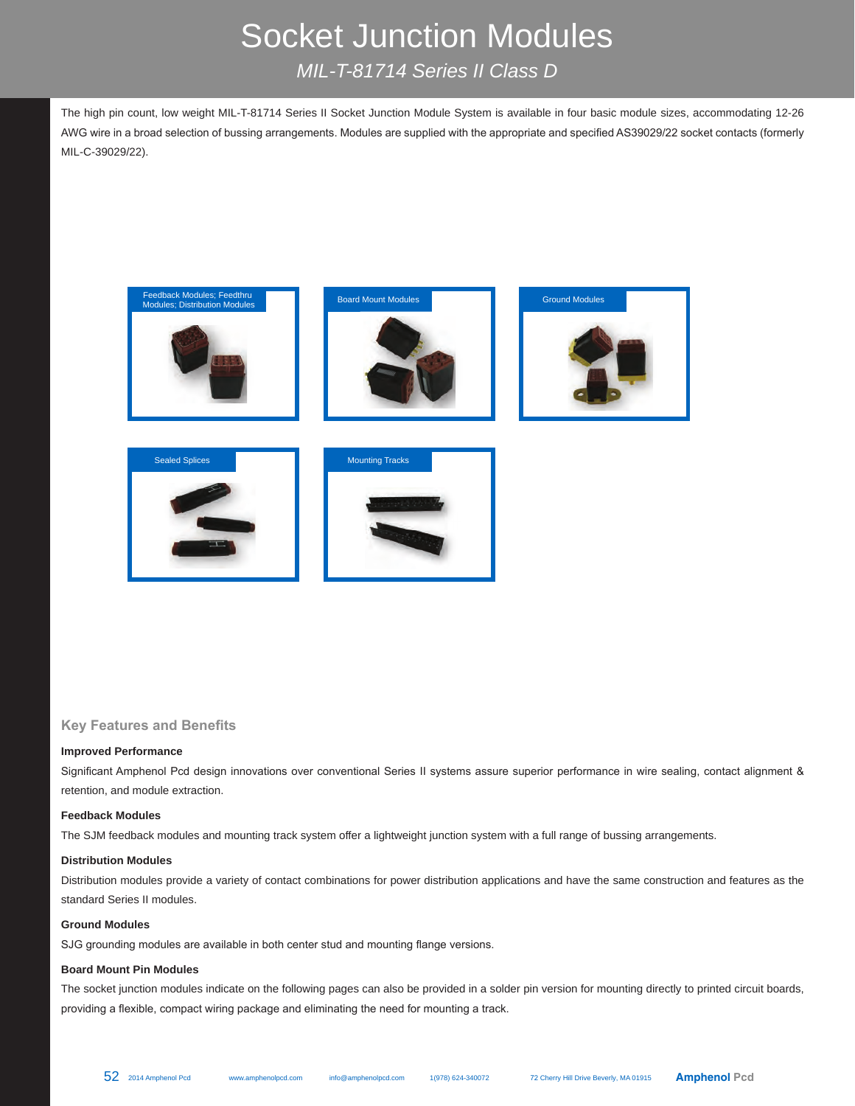# Socket Junction Modules *MIL-T-81714 Series II Class D*

The high pin count, low weight MIL-T-81714 Series II Socket Junction Module System is available in four basic module sizes, accommodating 12-26 AWG wire in a broad selection of bussing arrangements. Modules are supplied with the appropriate and specified AS39029/22 socket contacts (formerly MIL-C-39029/22).



**Key Features and Benefits**

# **Improved Performance**

Significant Amphenol Pcd design innovations over conventional Series II systems assure superior performance in wire sealing, contact alignment & retention, and module extraction.

# **Feedback Modules**

The SJM feedback modules and mounting track system offer a lightweight junction system with a full range of bussing arrangements.

## **Distribution Modules**

Distribution modules provide a variety of contact combinations for power distribution applications and have the same construction and features as the standard Series II modules.

### **Ground Modules**

SJG grounding modules are available in both center stud and mounting flange versions.

### **Board Mount Pin Modules**

The socket junction modules indicate on the following pages can also be provided in a solder pin version for mounting directly to printed circuit boards, providing a flexible, compact wiring package and eliminating the need for mounting a track.